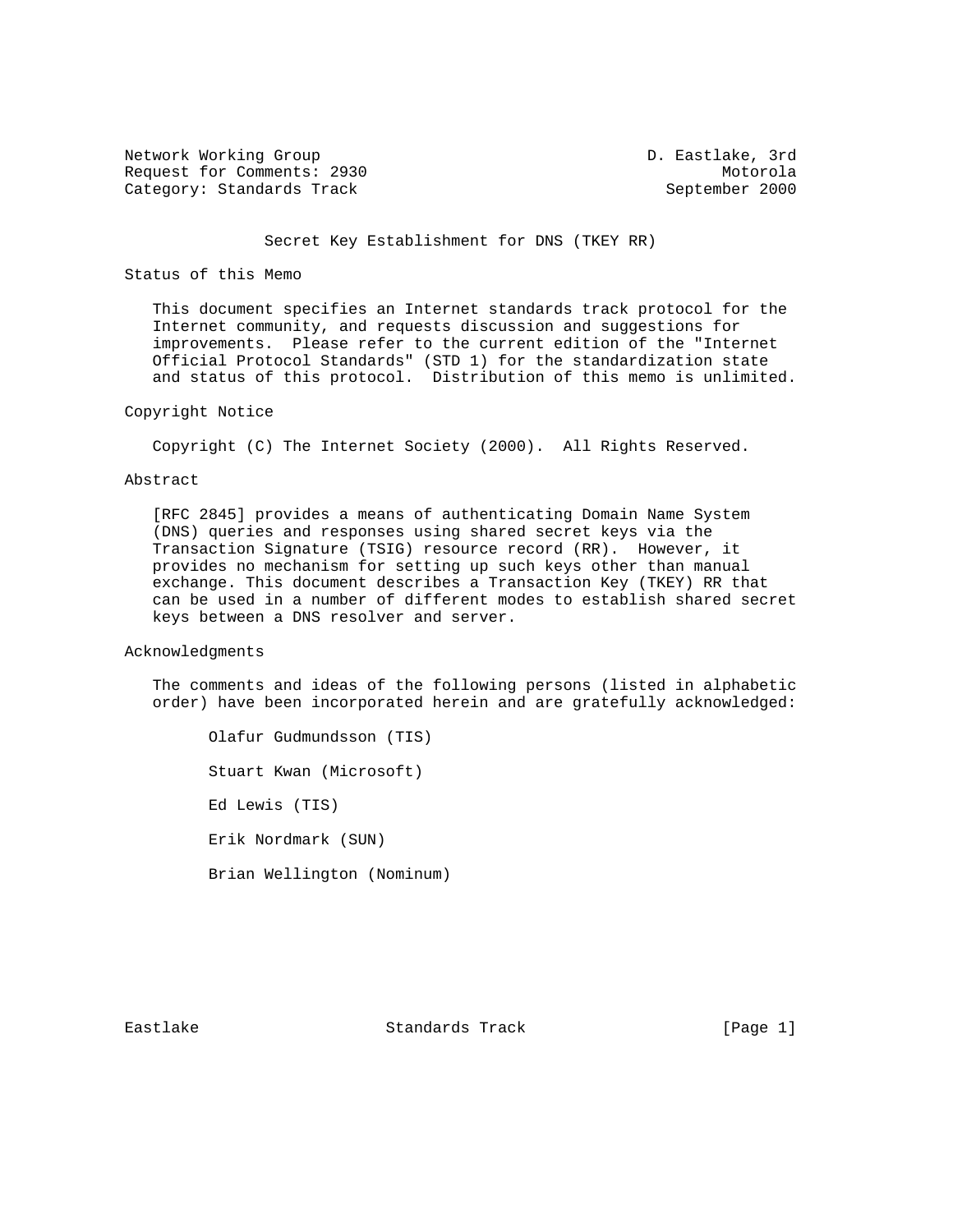Network Working Group and the Communication of the D. Eastlake, 3rd Request for Comments: 2930 Motorola Category: Standards Track September 2000

# Secret Key Establishment for DNS (TKEY RR)

## Status of this Memo

 This document specifies an Internet standards track protocol for the Internet community, and requests discussion and suggestions for improvements. Please refer to the current edition of the "Internet Official Protocol Standards" (STD 1) for the standardization state and status of this protocol. Distribution of this memo is unlimited.

# Copyright Notice

Copyright (C) The Internet Society (2000). All Rights Reserved.

# Abstract

 [RFC 2845] provides a means of authenticating Domain Name System (DNS) queries and responses using shared secret keys via the Transaction Signature (TSIG) resource record (RR). However, it provides no mechanism for setting up such keys other than manual exchange. This document describes a Transaction Key (TKEY) RR that can be used in a number of different modes to establish shared secret keys between a DNS resolver and server.

#### Acknowledgments

 The comments and ideas of the following persons (listed in alphabetic order) have been incorporated herein and are gratefully acknowledged:

 Olafur Gudmundsson (TIS) Stuart Kwan (Microsoft) Ed Lewis (TIS) Erik Nordmark (SUN) Brian Wellington (Nominum)

Eastlake Standards Track [Page 1]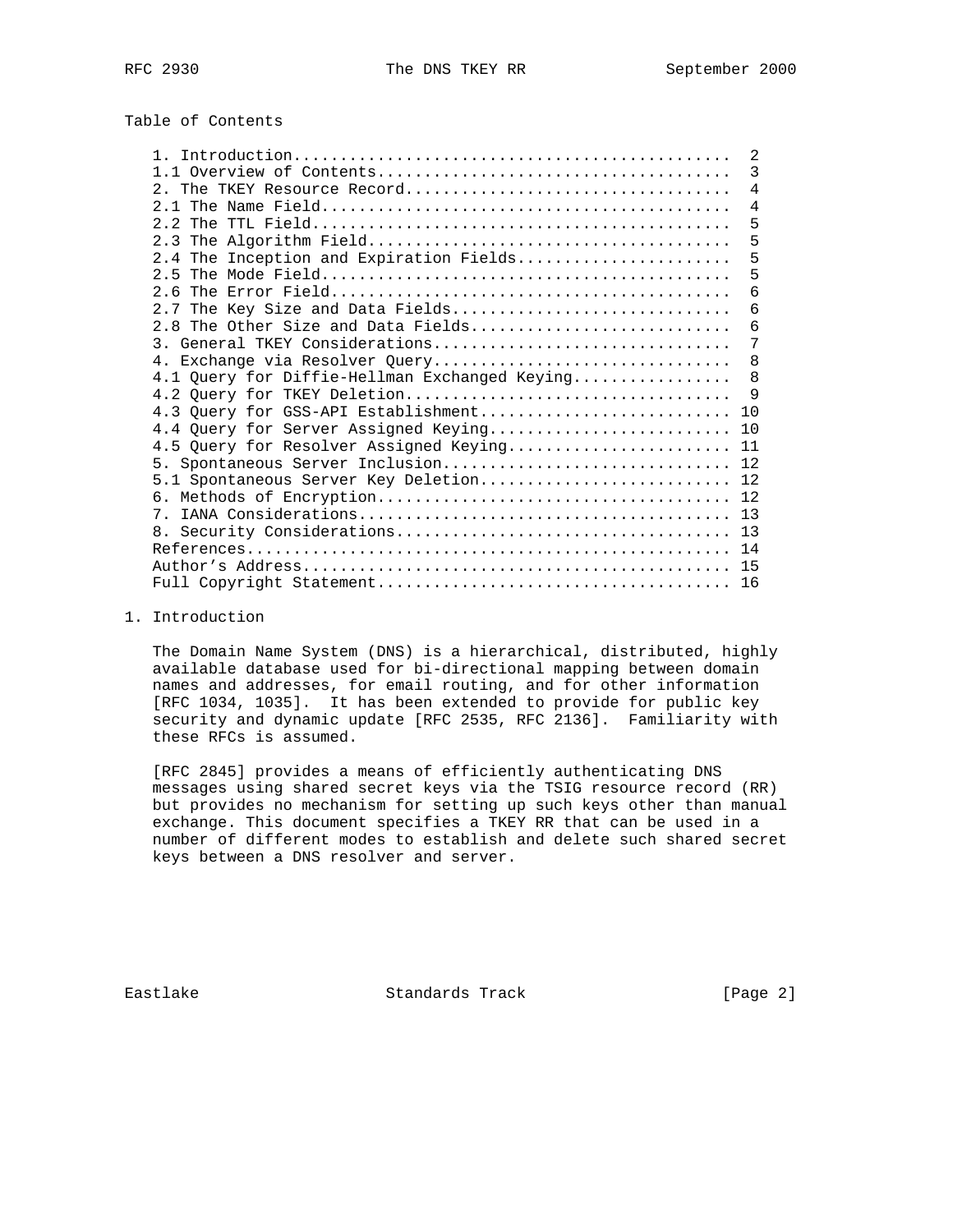# Table of Contents

|                                               | 2              |
|-----------------------------------------------|----------------|
|                                               | 3              |
|                                               | $\overline{4}$ |
|                                               | $\overline{4}$ |
|                                               | 5              |
|                                               | 5              |
| 2.4 The Inception and Expiration Fields       | 5              |
|                                               | 5              |
|                                               | 6              |
| 2.7 The Key Size and Data Fields              | 6              |
| 2.8 The Other Size and Data Fields            | 6              |
| 3. General TKEY Considerations                | 7              |
| 4. Exchange via Resolver Query                | 8              |
| 4.1 Query for Diffie-Hellman Exchanged Keying | 8              |
| 4.2 Query for TKEY Deletion                   | - 9            |
| 4.3 Query for GSS-API Establishment           | 10             |
| 4.4 Query for Server Assigned Keying 10       |                |
| 4.5 Query for Resolver Assigned Keying 11     |                |
| 5. Spontaneous Server Inclusion 12            |                |
| 5.1 Spontaneous Server Key Deletion 12        |                |
|                                               |                |
|                                               |                |
|                                               |                |
|                                               | 14             |
|                                               | 15             |
|                                               | 16             |

## 1. Introduction

 The Domain Name System (DNS) is a hierarchical, distributed, highly available database used for bi-directional mapping between domain names and addresses, for email routing, and for other information [RFC 1034, 1035]. It has been extended to provide for public key security and dynamic update [RFC 2535, RFC 2136]. Familiarity with these RFCs is assumed.

 [RFC 2845] provides a means of efficiently authenticating DNS messages using shared secret keys via the TSIG resource record (RR) but provides no mechanism for setting up such keys other than manual exchange. This document specifies a TKEY RR that can be used in a number of different modes to establish and delete such shared secret keys between a DNS resolver and server.

Eastlake Standards Track [Page 2]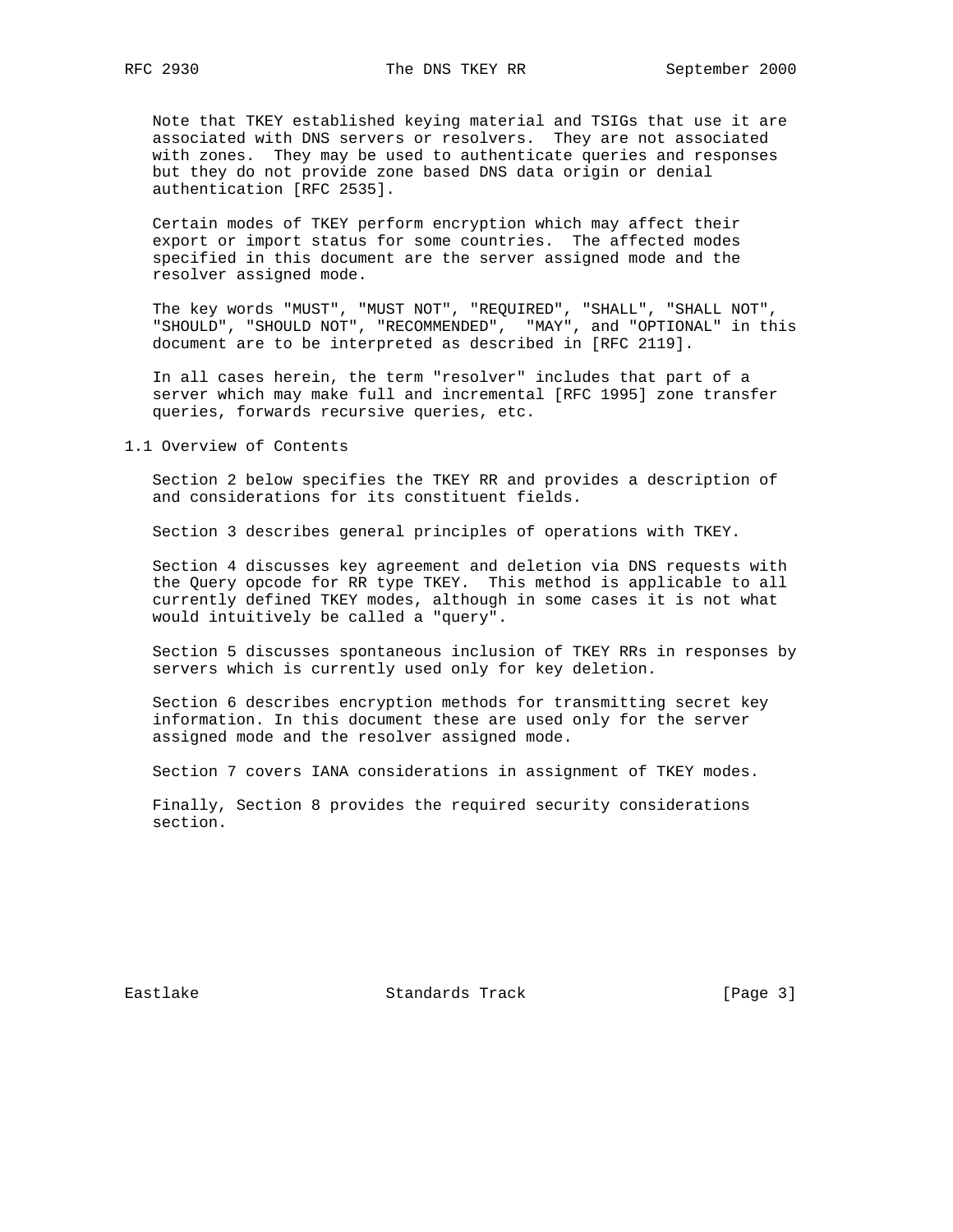Note that TKEY established keying material and TSIGs that use it are associated with DNS servers or resolvers. They are not associated with zones. They may be used to authenticate queries and responses but they do not provide zone based DNS data origin or denial authentication [RFC 2535].

 Certain modes of TKEY perform encryption which may affect their export or import status for some countries. The affected modes specified in this document are the server assigned mode and the resolver assigned mode.

 The key words "MUST", "MUST NOT", "REQUIRED", "SHALL", "SHALL NOT", "SHOULD", "SHOULD NOT", "RECOMMENDED", "MAY", and "OPTIONAL" in this document are to be interpreted as described in [RFC 2119].

 In all cases herein, the term "resolver" includes that part of a server which may make full and incremental [RFC 1995] zone transfer queries, forwards recursive queries, etc.

1.1 Overview of Contents

 Section 2 below specifies the TKEY RR and provides a description of and considerations for its constituent fields.

Section 3 describes general principles of operations with TKEY.

 Section 4 discusses key agreement and deletion via DNS requests with the Query opcode for RR type TKEY. This method is applicable to all currently defined TKEY modes, although in some cases it is not what would intuitively be called a "query".

 Section 5 discusses spontaneous inclusion of TKEY RRs in responses by servers which is currently used only for key deletion.

 Section 6 describes encryption methods for transmitting secret key information. In this document these are used only for the server assigned mode and the resolver assigned mode.

Section 7 covers IANA considerations in assignment of TKEY modes.

 Finally, Section 8 provides the required security considerations section.

Eastlake Standards Track [Page 3]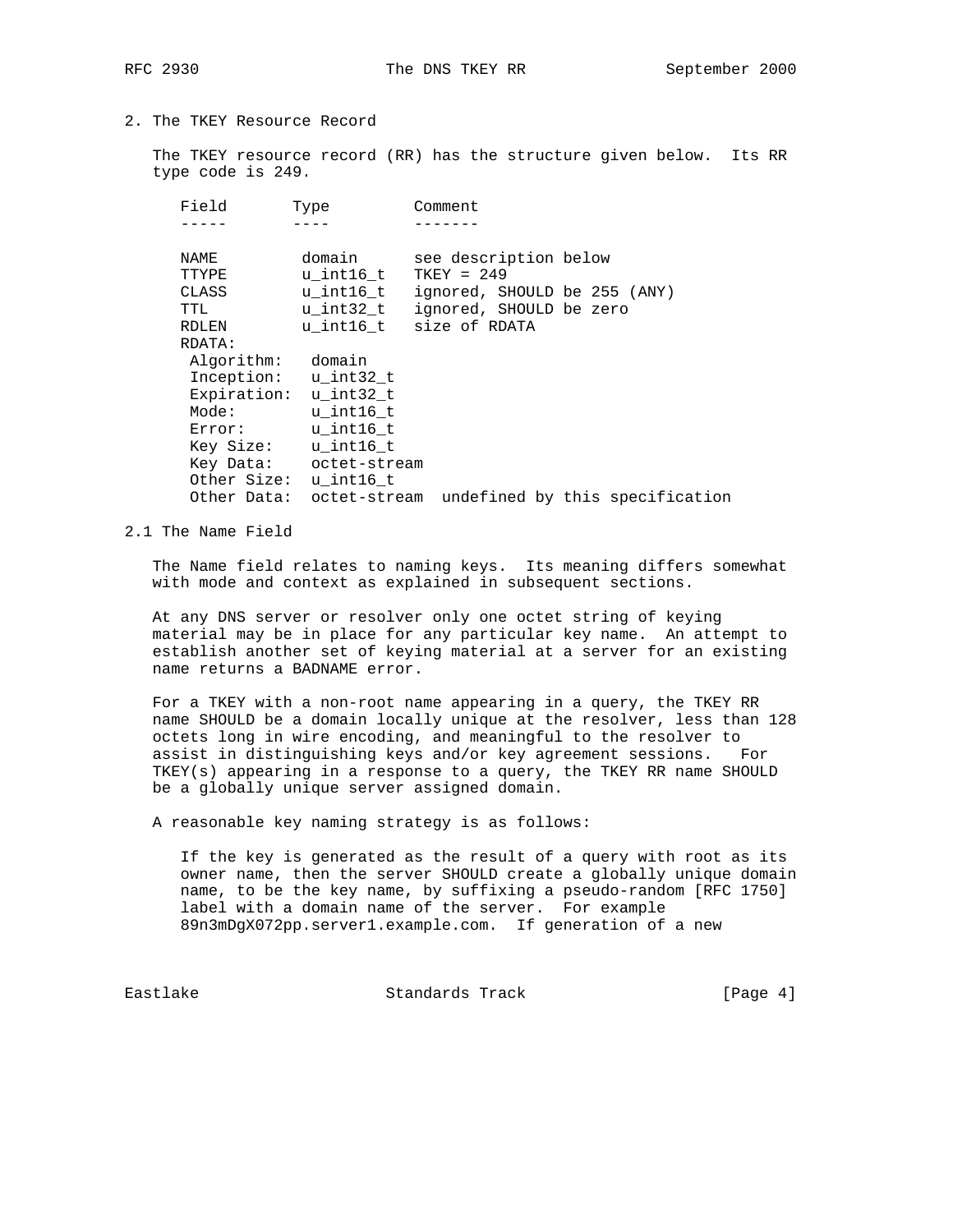2. The TKEY Resource Record

 The TKEY resource record (RR) has the structure given below. Its RR type code is 249.

| Field       | Type                   | Comment                      |                                              |
|-------------|------------------------|------------------------------|----------------------------------------------|
|             |                        |                              |                                              |
| NAME        | domain                 | see description below        |                                              |
| TTYPE       | u int16 t              | $TKEY = 249$                 |                                              |
| CLASS       | u int16 t              | ignored, SHOULD be 255 (ANY) |                                              |
| TTL         | u int32 t              | ignored, SHOULD be zero      |                                              |
| RDLEN       |                        | u int16 t size of RDATA      |                                              |
| RDATA:      |                        |                              |                                              |
| Algorithm:  | domain                 |                              |                                              |
|             | Inception: u int32 t   |                              |                                              |
| Expiration: | u int32 t              |                              |                                              |
| Mode:       | u int16 t              |                              |                                              |
| Error:      | u int16 t              |                              |                                              |
| Key Size:   | u int16 t              |                              |                                              |
|             | Key Data: octet-stream |                              |                                              |
|             | Other Size: u_int16_t  |                              |                                              |
| Other Data: |                        |                              | octet-stream undefined by this specification |
|             |                        |                              |                                              |

2.1 The Name Field

 The Name field relates to naming keys. Its meaning differs somewhat with mode and context as explained in subsequent sections.

 At any DNS server or resolver only one octet string of keying material may be in place for any particular key name. An attempt to establish another set of keying material at a server for an existing name returns a BADNAME error.

 For a TKEY with a non-root name appearing in a query, the TKEY RR name SHOULD be a domain locally unique at the resolver, less than 128 octets long in wire encoding, and meaningful to the resolver to assist in distinguishing keys and/or key agreement sessions. For TKEY(s) appearing in a response to a query, the TKEY RR name SHOULD be a globally unique server assigned domain.

A reasonable key naming strategy is as follows:

 If the key is generated as the result of a query with root as its owner name, then the server SHOULD create a globally unique domain name, to be the key name, by suffixing a pseudo-random [RFC 1750] label with a domain name of the server. For example 89n3mDgX072pp.server1.example.com. If generation of a new

Eastlake Standards Track [Page 4]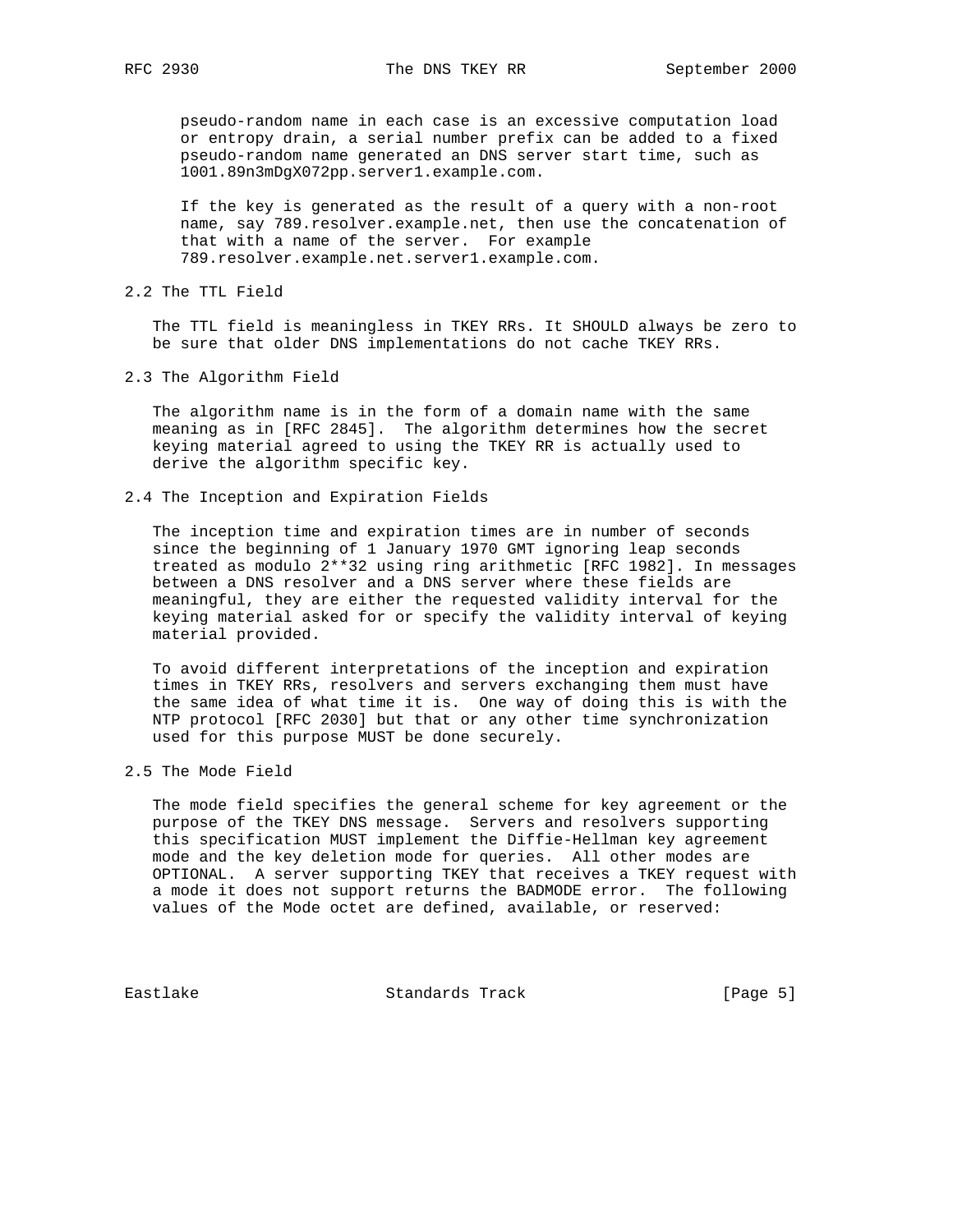pseudo-random name in each case is an excessive computation load or entropy drain, a serial number prefix can be added to a fixed pseudo-random name generated an DNS server start time, such as 1001.89n3mDgX072pp.server1.example.com.

 If the key is generated as the result of a query with a non-root name, say 789.resolver.example.net, then use the concatenation of that with a name of the server. For example 789.resolver.example.net.server1.example.com.

2.2 The TTL Field

 The TTL field is meaningless in TKEY RRs. It SHOULD always be zero to be sure that older DNS implementations do not cache TKEY RRs.

2.3 The Algorithm Field

 The algorithm name is in the form of a domain name with the same meaning as in [RFC 2845]. The algorithm determines how the secret keying material agreed to using the TKEY RR is actually used to derive the algorithm specific key.

2.4 The Inception and Expiration Fields

 The inception time and expiration times are in number of seconds since the beginning of 1 January 1970 GMT ignoring leap seconds treated as modulo 2\*\*32 using ring arithmetic [RFC 1982]. In messages between a DNS resolver and a DNS server where these fields are meaningful, they are either the requested validity interval for the keying material asked for or specify the validity interval of keying material provided.

 To avoid different interpretations of the inception and expiration times in TKEY RRs, resolvers and servers exchanging them must have the same idea of what time it is. One way of doing this is with the NTP protocol [RFC 2030] but that or any other time synchronization used for this purpose MUST be done securely.

2.5 The Mode Field

 The mode field specifies the general scheme for key agreement or the purpose of the TKEY DNS message. Servers and resolvers supporting this specification MUST implement the Diffie-Hellman key agreement mode and the key deletion mode for queries. All other modes are OPTIONAL. A server supporting TKEY that receives a TKEY request with a mode it does not support returns the BADMODE error. The following values of the Mode octet are defined, available, or reserved:

Eastlake Standards Track [Page 5]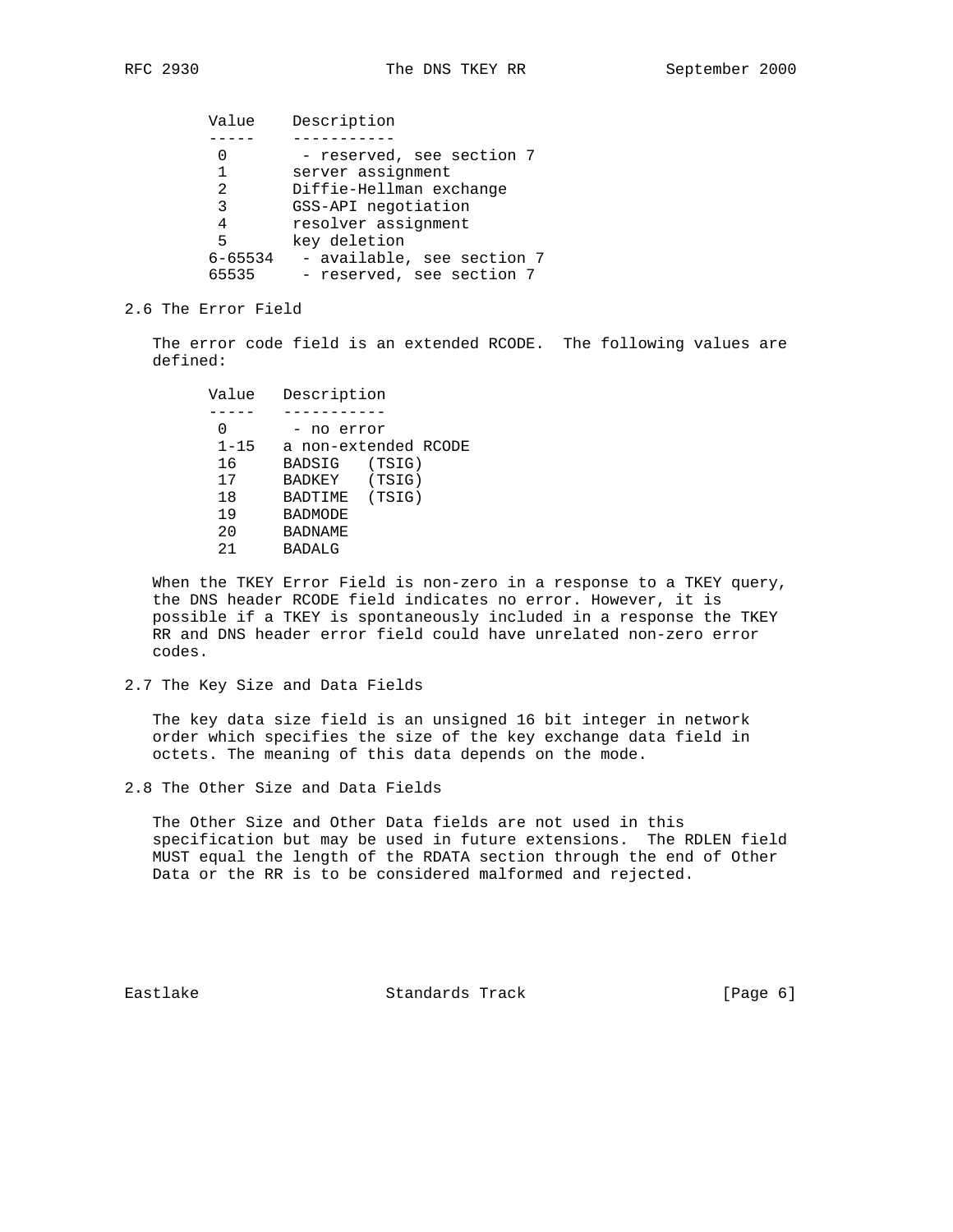| Value       | Description                |
|-------------|----------------------------|
|             |                            |
|             | - reserved, see section 7  |
| 1           | server assignment          |
| 2           | Diffie-Hellman exchange    |
| 3           | GSS-API negotiation        |
| 4           | resolver assignment        |
| 5           | key deletion               |
| $6 - 65534$ | - available, see section 7 |
| 65535       | - reserved, see section 7  |

## 2.6 The Error Field

 The error code field is an extended RCODE. The following values are defined:

 Value Description ----- ----------- 0 - no error 1-15 a non-extended RCODE 16 BADSIG (TSIG) 17 BADKEY (TSIG) 18 BADTIME (TSIG) 19 BADMODE 20 BADNAME 21 BADALG

 When the TKEY Error Field is non-zero in a response to a TKEY query, the DNS header RCODE field indicates no error. However, it is possible if a TKEY is spontaneously included in a response the TKEY RR and DNS header error field could have unrelated non-zero error codes.

#### 2.7 The Key Size and Data Fields

 The key data size field is an unsigned 16 bit integer in network order which specifies the size of the key exchange data field in octets. The meaning of this data depends on the mode.

2.8 The Other Size and Data Fields

 The Other Size and Other Data fields are not used in this specification but may be used in future extensions. The RDLEN field MUST equal the length of the RDATA section through the end of Other Data or the RR is to be considered malformed and rejected.

Eastlake Standards Track [Page 6]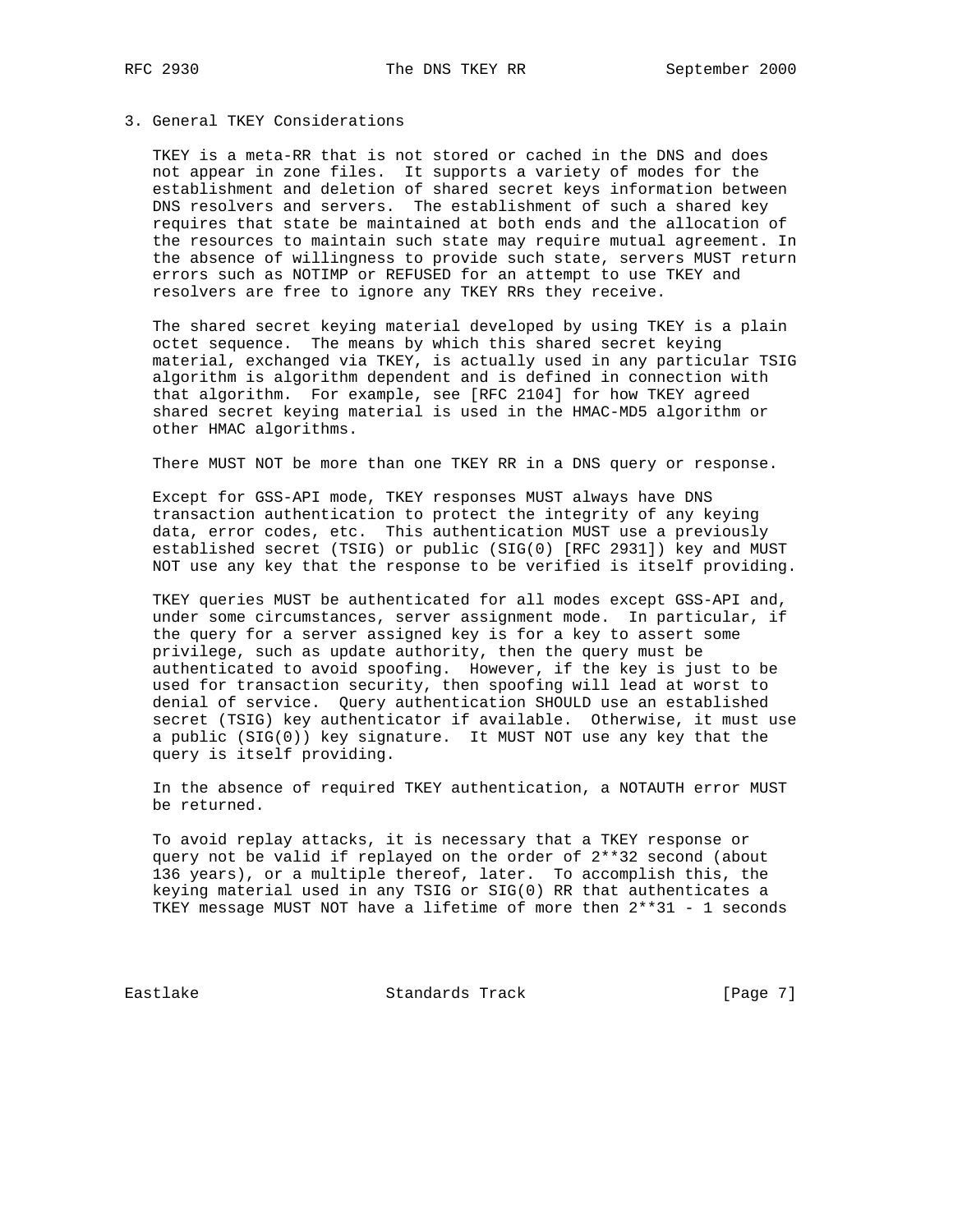# 3. General TKEY Considerations

 TKEY is a meta-RR that is not stored or cached in the DNS and does not appear in zone files. It supports a variety of modes for the establishment and deletion of shared secret keys information between DNS resolvers and servers. The establishment of such a shared key requires that state be maintained at both ends and the allocation of the resources to maintain such state may require mutual agreement. In the absence of willingness to provide such state, servers MUST return errors such as NOTIMP or REFUSED for an attempt to use TKEY and resolvers are free to ignore any TKEY RRs they receive.

 The shared secret keying material developed by using TKEY is a plain octet sequence. The means by which this shared secret keying material, exchanged via TKEY, is actually used in any particular TSIG algorithm is algorithm dependent and is defined in connection with that algorithm. For example, see [RFC 2104] for how TKEY agreed shared secret keying material is used in the HMAC-MD5 algorithm or other HMAC algorithms.

There MUST NOT be more than one TKEY RR in a DNS query or response.

 Except for GSS-API mode, TKEY responses MUST always have DNS transaction authentication to protect the integrity of any keying data, error codes, etc. This authentication MUST use a previously established secret (TSIG) or public (SIG(0) [RFC 2931]) key and MUST NOT use any key that the response to be verified is itself providing.

 TKEY queries MUST be authenticated for all modes except GSS-API and, under some circumstances, server assignment mode. In particular, if the query for a server assigned key is for a key to assert some privilege, such as update authority, then the query must be authenticated to avoid spoofing. However, if the key is just to be used for transaction security, then spoofing will lead at worst to denial of service. Query authentication SHOULD use an established secret (TSIG) key authenticator if available. Otherwise, it must use a public (SIG(0)) key signature. It MUST NOT use any key that the query is itself providing.

 In the absence of required TKEY authentication, a NOTAUTH error MUST be returned.

 To avoid replay attacks, it is necessary that a TKEY response or query not be valid if replayed on the order of 2\*\*32 second (about 136 years), or a multiple thereof, later. To accomplish this, the keying material used in any TSIG or SIG(0) RR that authenticates a TKEY message MUST NOT have a lifetime of more then 2\*\*31 - 1 seconds

Eastlake Standards Track [Page 7]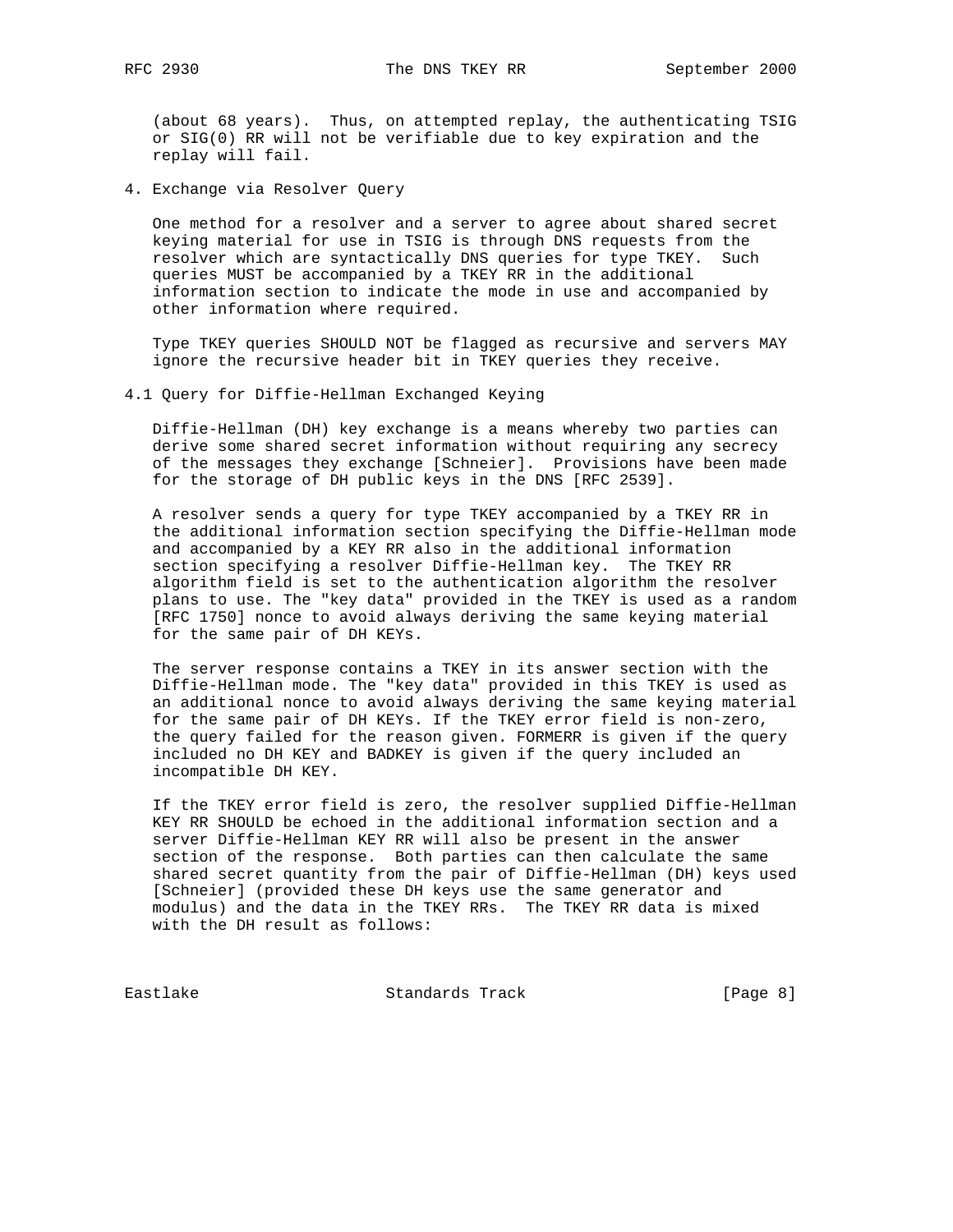(about 68 years). Thus, on attempted replay, the authenticating TSIG or SIG(0) RR will not be verifiable due to key expiration and the replay will fail.

4. Exchange via Resolver Query

 One method for a resolver and a server to agree about shared secret keying material for use in TSIG is through DNS requests from the resolver which are syntactically DNS queries for type TKEY. Such queries MUST be accompanied by a TKEY RR in the additional information section to indicate the mode in use and accompanied by other information where required.

 Type TKEY queries SHOULD NOT be flagged as recursive and servers MAY ignore the recursive header bit in TKEY queries they receive.

4.1 Query for Diffie-Hellman Exchanged Keying

 Diffie-Hellman (DH) key exchange is a means whereby two parties can derive some shared secret information without requiring any secrecy of the messages they exchange [Schneier]. Provisions have been made for the storage of DH public keys in the DNS [RFC 2539].

 A resolver sends a query for type TKEY accompanied by a TKEY RR in the additional information section specifying the Diffie-Hellman mode and accompanied by a KEY RR also in the additional information section specifying a resolver Diffie-Hellman key. The TKEY RR algorithm field is set to the authentication algorithm the resolver plans to use. The "key data" provided in the TKEY is used as a random [RFC 1750] nonce to avoid always deriving the same keying material for the same pair of DH KEYs.

 The server response contains a TKEY in its answer section with the Diffie-Hellman mode. The "key data" provided in this TKEY is used as an additional nonce to avoid always deriving the same keying material for the same pair of DH KEYs. If the TKEY error field is non-zero, the query failed for the reason given. FORMERR is given if the query included no DH KEY and BADKEY is given if the query included an incompatible DH KEY.

 If the TKEY error field is zero, the resolver supplied Diffie-Hellman KEY RR SHOULD be echoed in the additional information section and a server Diffie-Hellman KEY RR will also be present in the answer section of the response. Both parties can then calculate the same shared secret quantity from the pair of Diffie-Hellman (DH) keys used [Schneier] (provided these DH keys use the same generator and modulus) and the data in the TKEY RRs. The TKEY RR data is mixed with the DH result as follows:

Eastlake Standards Track [Page 8]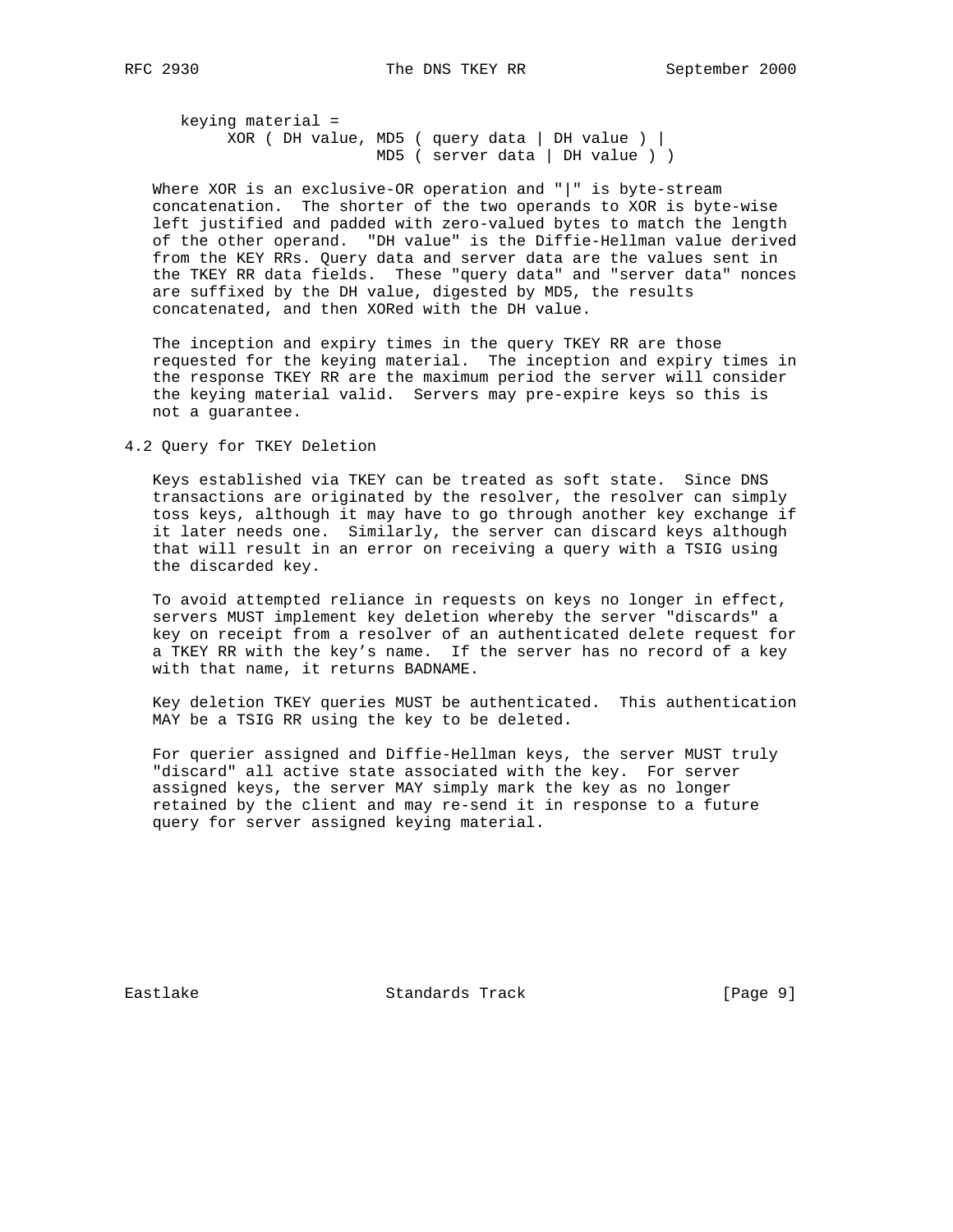keying material = XOR ( DH value, MD5 ( query data | DH value ) | MD5 ( server data | DH value ) )

 Where XOR is an exclusive-OR operation and "|" is byte-stream concatenation. The shorter of the two operands to XOR is byte-wise left justified and padded with zero-valued bytes to match the length of the other operand. "DH value" is the Diffie-Hellman value derived from the KEY RRs. Query data and server data are the values sent in the TKEY RR data fields. These "query data" and "server data" nonces are suffixed by the DH value, digested by MD5, the results concatenated, and then XORed with the DH value.

 The inception and expiry times in the query TKEY RR are those requested for the keying material. The inception and expiry times in the response TKEY RR are the maximum period the server will consider the keying material valid. Servers may pre-expire keys so this is not a guarantee.

4.2 Query for TKEY Deletion

 Keys established via TKEY can be treated as soft state. Since DNS transactions are originated by the resolver, the resolver can simply toss keys, although it may have to go through another key exchange if it later needs one. Similarly, the server can discard keys although that will result in an error on receiving a query with a TSIG using the discarded key.

 To avoid attempted reliance in requests on keys no longer in effect, servers MUST implement key deletion whereby the server "discards" a key on receipt from a resolver of an authenticated delete request for a TKEY RR with the key's name. If the server has no record of a key with that name, it returns BADNAME.

 Key deletion TKEY queries MUST be authenticated. This authentication MAY be a TSIG RR using the key to be deleted.

 For querier assigned and Diffie-Hellman keys, the server MUST truly "discard" all active state associated with the key. For server assigned keys, the server MAY simply mark the key as no longer retained by the client and may re-send it in response to a future query for server assigned keying material.

Eastlake Standards Track [Page 9]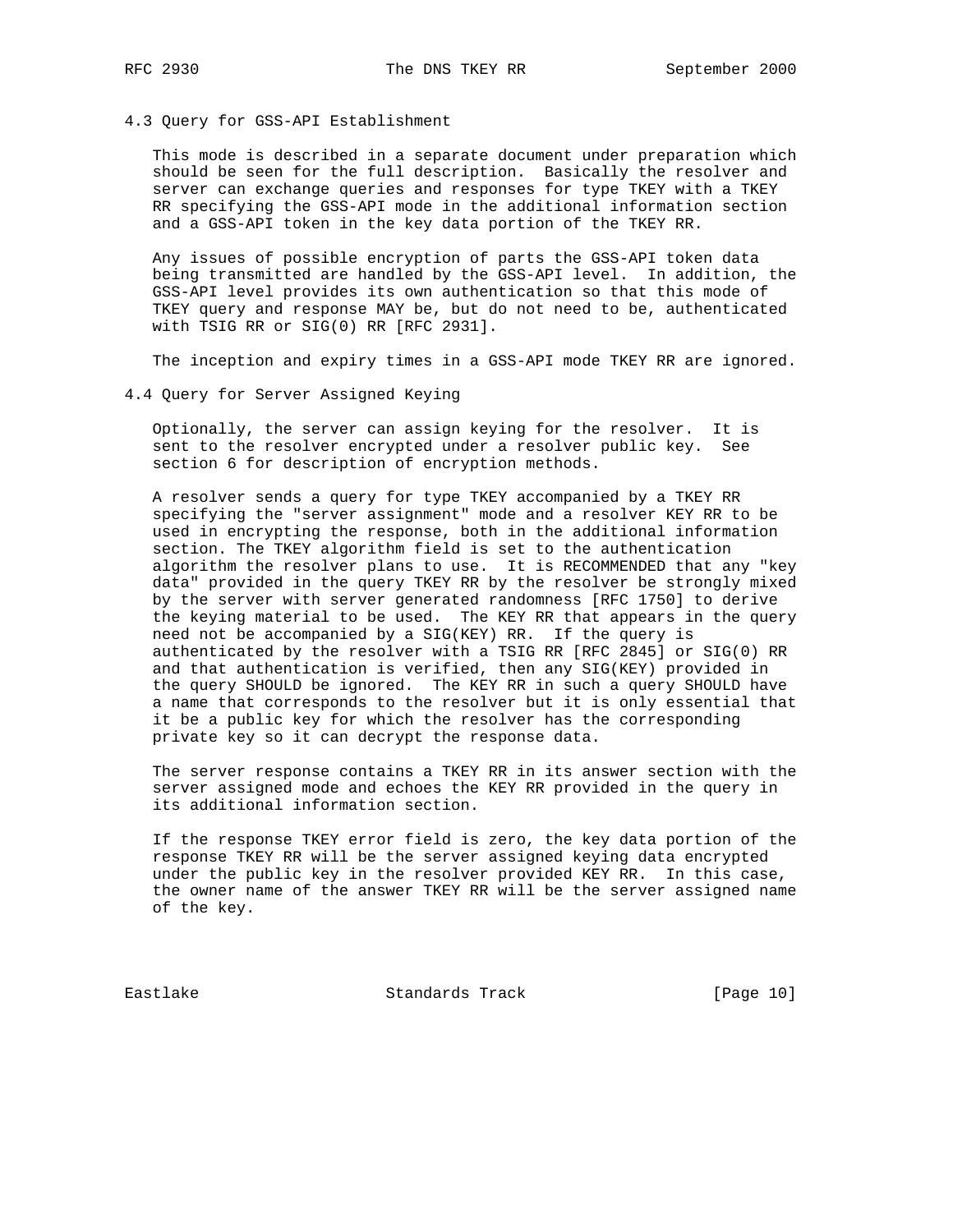#### 4.3 Query for GSS-API Establishment

 This mode is described in a separate document under preparation which should be seen for the full description. Basically the resolver and server can exchange queries and responses for type TKEY with a TKEY RR specifying the GSS-API mode in the additional information section and a GSS-API token in the key data portion of the TKEY RR.

 Any issues of possible encryption of parts the GSS-API token data being transmitted are handled by the GSS-API level. In addition, the GSS-API level provides its own authentication so that this mode of TKEY query and response MAY be, but do not need to be, authenticated with TSIG RR or SIG(0) RR [RFC 2931].

The inception and expiry times in a GSS-API mode TKEY RR are ignored.

4.4 Query for Server Assigned Keying

 Optionally, the server can assign keying for the resolver. It is sent to the resolver encrypted under a resolver public key. See section 6 for description of encryption methods.

 A resolver sends a query for type TKEY accompanied by a TKEY RR specifying the "server assignment" mode and a resolver KEY RR to be used in encrypting the response, both in the additional information section. The TKEY algorithm field is set to the authentication algorithm the resolver plans to use. It is RECOMMENDED that any "key data" provided in the query TKEY RR by the resolver be strongly mixed by the server with server generated randomness [RFC 1750] to derive the keying material to be used. The KEY RR that appears in the query need not be accompanied by a SIG(KEY) RR. If the query is authenticated by the resolver with a TSIG RR [RFC 2845] or SIG(0) RR and that authentication is verified, then any SIG(KEY) provided in the query SHOULD be ignored. The KEY RR in such a query SHOULD have a name that corresponds to the resolver but it is only essential that it be a public key for which the resolver has the corresponding private key so it can decrypt the response data.

 The server response contains a TKEY RR in its answer section with the server assigned mode and echoes the KEY RR provided in the query in its additional information section.

 If the response TKEY error field is zero, the key data portion of the response TKEY RR will be the server assigned keying data encrypted under the public key in the resolver provided KEY RR. In this case, the owner name of the answer TKEY RR will be the server assigned name of the key.

Eastlake Standards Track [Page 10]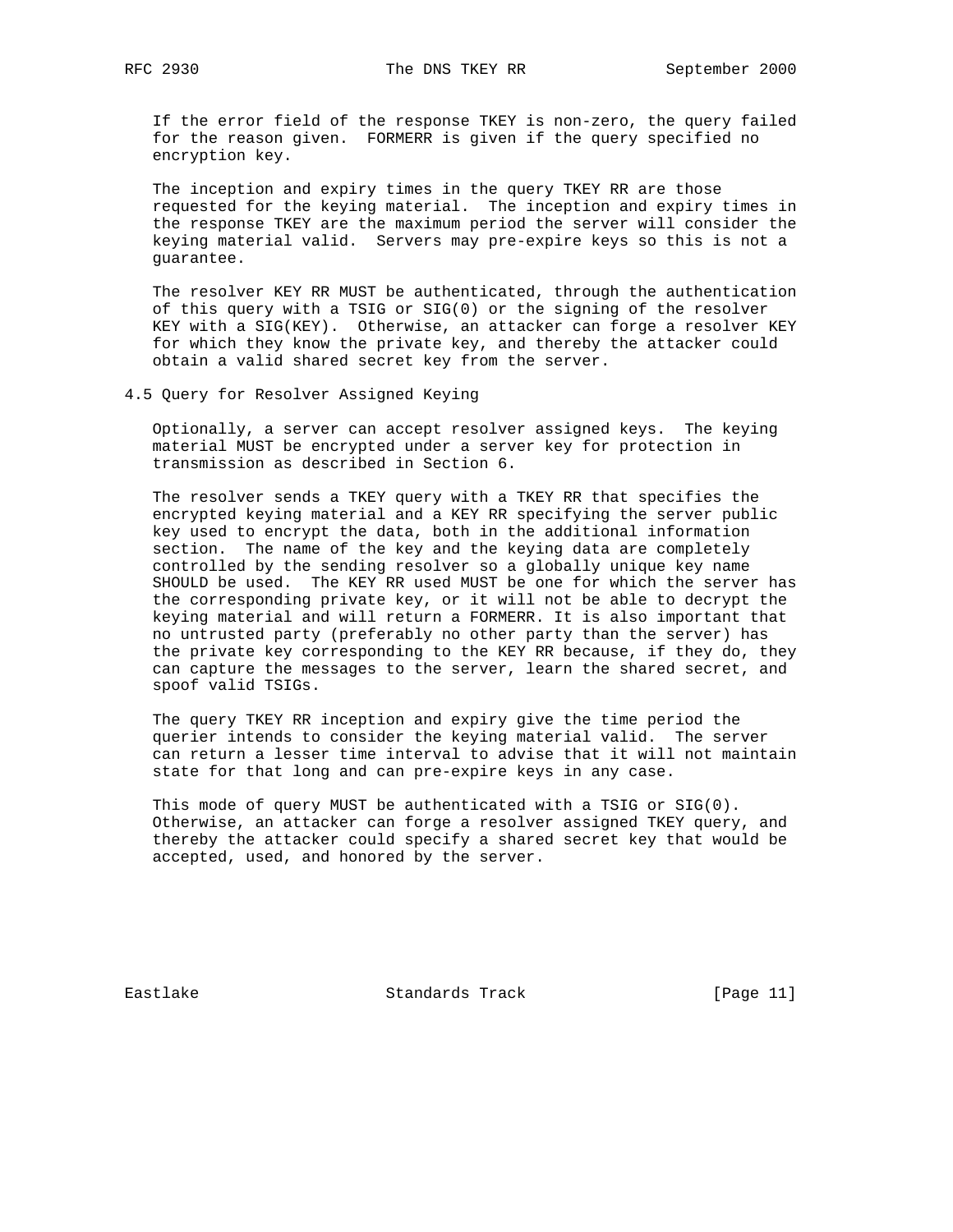If the error field of the response TKEY is non-zero, the query failed for the reason given. FORMERR is given if the query specified no encryption key.

 The inception and expiry times in the query TKEY RR are those requested for the keying material. The inception and expiry times in the response TKEY are the maximum period the server will consider the keying material valid. Servers may pre-expire keys so this is not a guarantee.

 The resolver KEY RR MUST be authenticated, through the authentication of this query with a TSIG or SIG(0) or the signing of the resolver KEY with a SIG(KEY). Otherwise, an attacker can forge a resolver KEY for which they know the private key, and thereby the attacker could obtain a valid shared secret key from the server.

4.5 Query for Resolver Assigned Keying

 Optionally, a server can accept resolver assigned keys. The keying material MUST be encrypted under a server key for protection in transmission as described in Section 6.

 The resolver sends a TKEY query with a TKEY RR that specifies the encrypted keying material and a KEY RR specifying the server public key used to encrypt the data, both in the additional information section. The name of the key and the keying data are completely controlled by the sending resolver so a globally unique key name SHOULD be used. The KEY RR used MUST be one for which the server has the corresponding private key, or it will not be able to decrypt the keying material and will return a FORMERR. It is also important that no untrusted party (preferably no other party than the server) has the private key corresponding to the KEY RR because, if they do, they can capture the messages to the server, learn the shared secret, and spoof valid TSIGs.

 The query TKEY RR inception and expiry give the time period the querier intends to consider the keying material valid. The server can return a lesser time interval to advise that it will not maintain state for that long and can pre-expire keys in any case.

 This mode of query MUST be authenticated with a TSIG or SIG(0). Otherwise, an attacker can forge a resolver assigned TKEY query, and thereby the attacker could specify a shared secret key that would be accepted, used, and honored by the server.

Eastlake Standards Track [Page 11]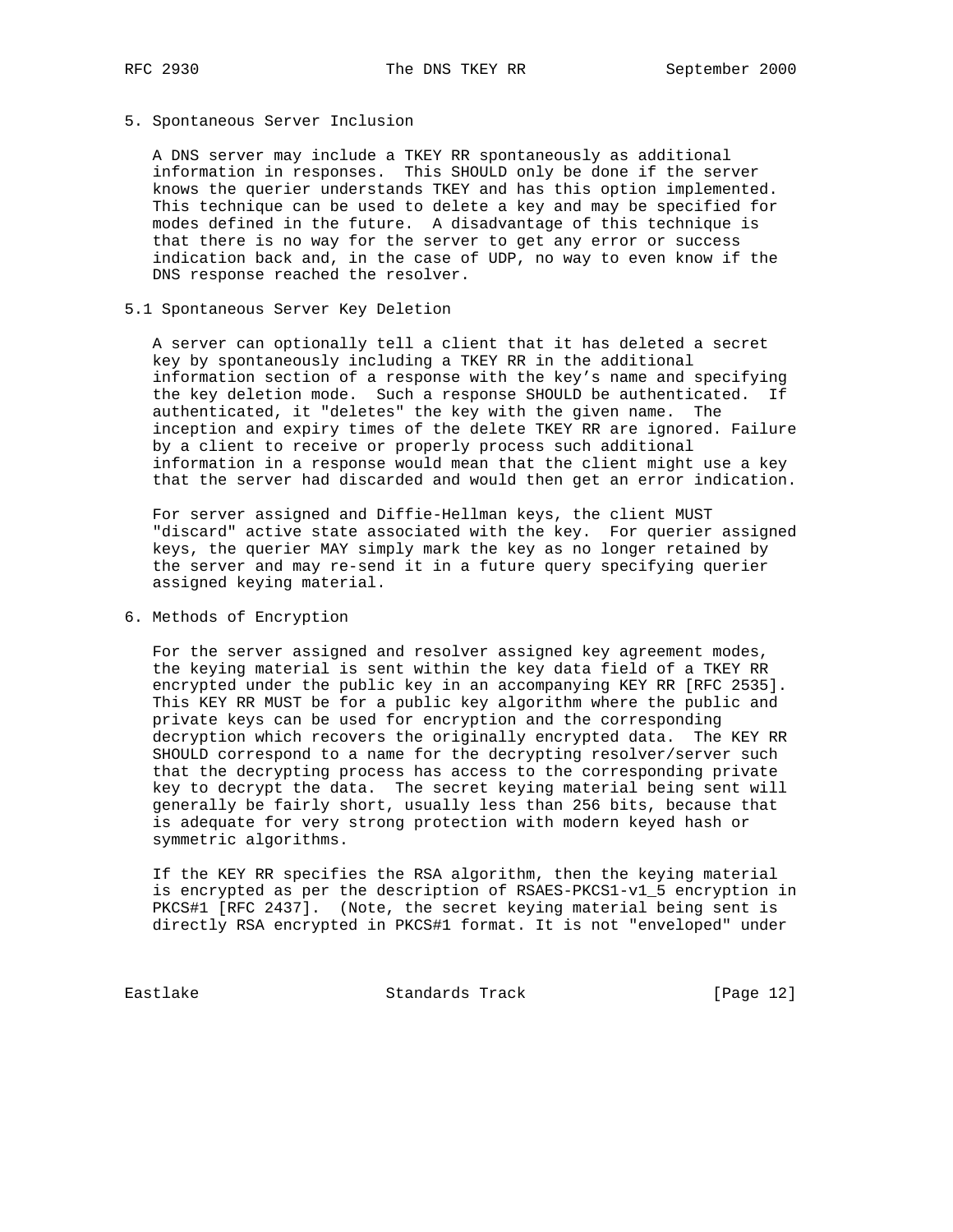## 5. Spontaneous Server Inclusion

 A DNS server may include a TKEY RR spontaneously as additional information in responses. This SHOULD only be done if the server knows the querier understands TKEY and has this option implemented. This technique can be used to delete a key and may be specified for modes defined in the future. A disadvantage of this technique is that there is no way for the server to get any error or success indication back and, in the case of UDP, no way to even know if the DNS response reached the resolver.

#### 5.1 Spontaneous Server Key Deletion

 A server can optionally tell a client that it has deleted a secret key by spontaneously including a TKEY RR in the additional information section of a response with the key's name and specifying the key deletion mode. Such a response SHOULD be authenticated. If authenticated, it "deletes" the key with the given name. The inception and expiry times of the delete TKEY RR are ignored. Failure by a client to receive or properly process such additional information in a response would mean that the client might use a key that the server had discarded and would then get an error indication.

 For server assigned and Diffie-Hellman keys, the client MUST "discard" active state associated with the key. For querier assigned keys, the querier MAY simply mark the key as no longer retained by the server and may re-send it in a future query specifying querier assigned keying material.

#### 6. Methods of Encryption

 For the server assigned and resolver assigned key agreement modes, the keying material is sent within the key data field of a TKEY RR encrypted under the public key in an accompanying KEY RR [RFC 2535]. This KEY RR MUST be for a public key algorithm where the public and private keys can be used for encryption and the corresponding decryption which recovers the originally encrypted data. The KEY RR SHOULD correspond to a name for the decrypting resolver/server such that the decrypting process has access to the corresponding private key to decrypt the data. The secret keying material being sent will generally be fairly short, usually less than 256 bits, because that is adequate for very strong protection with modern keyed hash or symmetric algorithms.

 If the KEY RR specifies the RSA algorithm, then the keying material is encrypted as per the description of RSAES-PKCS1-v1\_5 encryption in PKCS#1 [RFC 2437]. (Note, the secret keying material being sent is directly RSA encrypted in PKCS#1 format. It is not "enveloped" under

Eastlake Standards Track [Page 12]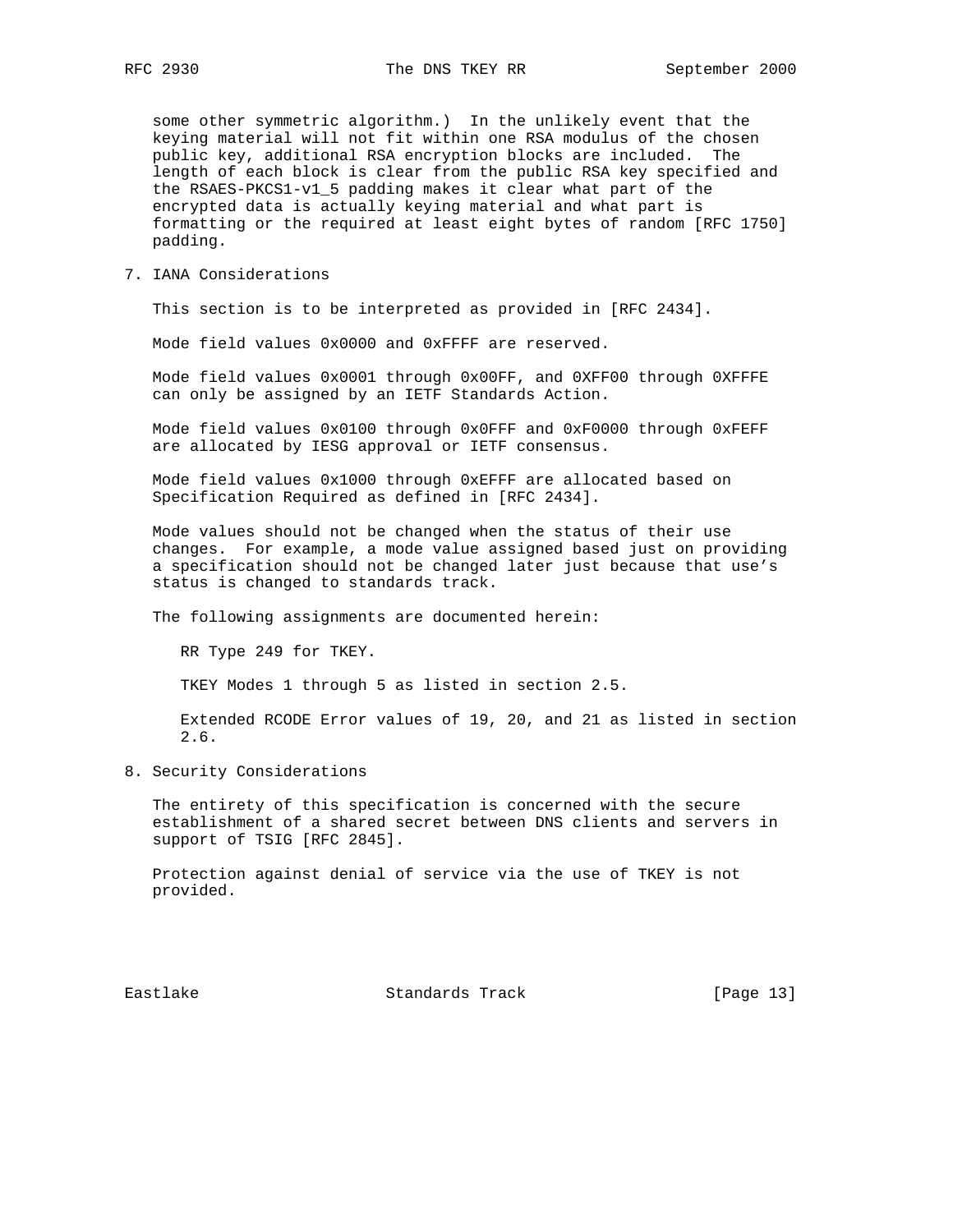some other symmetric algorithm.) In the unlikely event that the keying material will not fit within one RSA modulus of the chosen public key, additional RSA encryption blocks are included. The length of each block is clear from the public RSA key specified and the RSAES-PKCS1-v1\_5 padding makes it clear what part of the encrypted data is actually keying material and what part is formatting or the required at least eight bytes of random [RFC 1750] padding.

7. IANA Considerations

This section is to be interpreted as provided in [RFC 2434].

Mode field values 0x0000 and 0xFFFF are reserved.

 Mode field values 0x0001 through 0x00FF, and 0XFF00 through 0XFFFE can only be assigned by an IETF Standards Action.

 Mode field values 0x0100 through 0x0FFF and 0xF0000 through 0xFEFF are allocated by IESG approval or IETF consensus.

 Mode field values 0x1000 through 0xEFFF are allocated based on Specification Required as defined in [RFC 2434].

 Mode values should not be changed when the status of their use changes. For example, a mode value assigned based just on providing a specification should not be changed later just because that use's status is changed to standards track.

The following assignments are documented herein:

RR Type 249 for TKEY.

TKEY Modes 1 through 5 as listed in section 2.5.

 Extended RCODE Error values of 19, 20, and 21 as listed in section 2.6.

8. Security Considerations

 The entirety of this specification is concerned with the secure establishment of a shared secret between DNS clients and servers in support of TSIG [RFC 2845].

 Protection against denial of service via the use of TKEY is not provided.

Eastlake Standards Track [Page 13]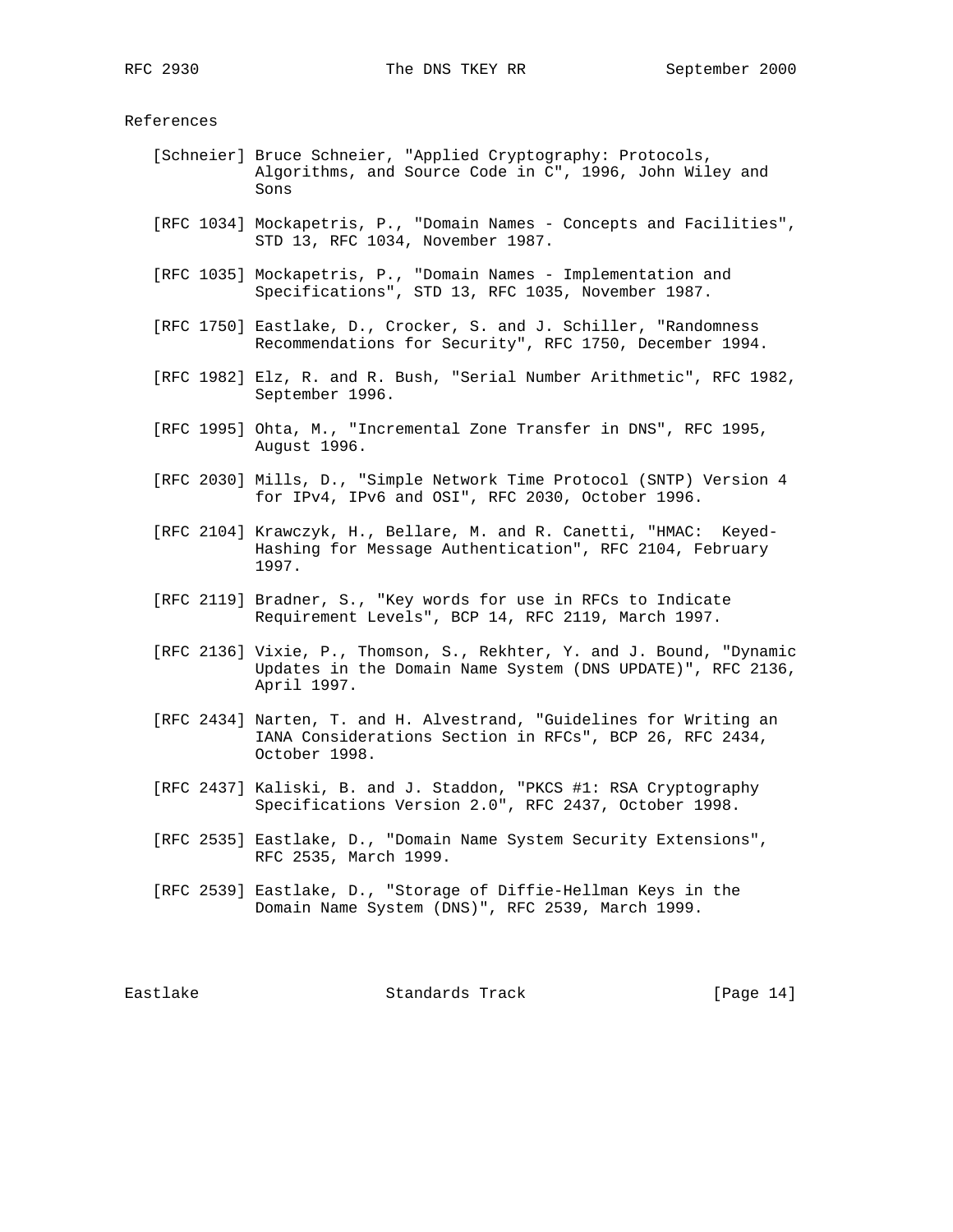# References

- [Schneier] Bruce Schneier, "Applied Cryptography: Protocols, Algorithms, and Source Code in C", 1996, John Wiley and Sons
- [RFC 1034] Mockapetris, P., "Domain Names Concepts and Facilities", STD 13, RFC 1034, November 1987.
- [RFC 1035] Mockapetris, P., "Domain Names Implementation and Specifications", STD 13, RFC 1035, November 1987.
- [RFC 1750] Eastlake, D., Crocker, S. and J. Schiller, "Randomness Recommendations for Security", RFC 1750, December 1994.
- [RFC 1982] Elz, R. and R. Bush, "Serial Number Arithmetic", RFC 1982, September 1996.
- [RFC 1995] Ohta, M., "Incremental Zone Transfer in DNS", RFC 1995, August 1996.
- [RFC 2030] Mills, D., "Simple Network Time Protocol (SNTP) Version 4 for IPv4, IPv6 and OSI", RFC 2030, October 1996.
- [RFC 2104] Krawczyk, H., Bellare, M. and R. Canetti, "HMAC: Keyed- Hashing for Message Authentication", RFC 2104, February 1997.
- [RFC 2119] Bradner, S., "Key words for use in RFCs to Indicate Requirement Levels", BCP 14, RFC 2119, March 1997.
- [RFC 2136] Vixie, P., Thomson, S., Rekhter, Y. and J. Bound, "Dynamic Updates in the Domain Name System (DNS UPDATE)", RFC 2136, April 1997.
- [RFC 2434] Narten, T. and H. Alvestrand, "Guidelines for Writing an IANA Considerations Section in RFCs", BCP 26, RFC 2434, October 1998.
- [RFC 2437] Kaliski, B. and J. Staddon, "PKCS #1: RSA Cryptography Specifications Version 2.0", RFC 2437, October 1998.
- [RFC 2535] Eastlake, D., "Domain Name System Security Extensions", RFC 2535, March 1999.
- [RFC 2539] Eastlake, D., "Storage of Diffie-Hellman Keys in the Domain Name System (DNS)", RFC 2539, March 1999.

Eastlake Standards Track [Page 14]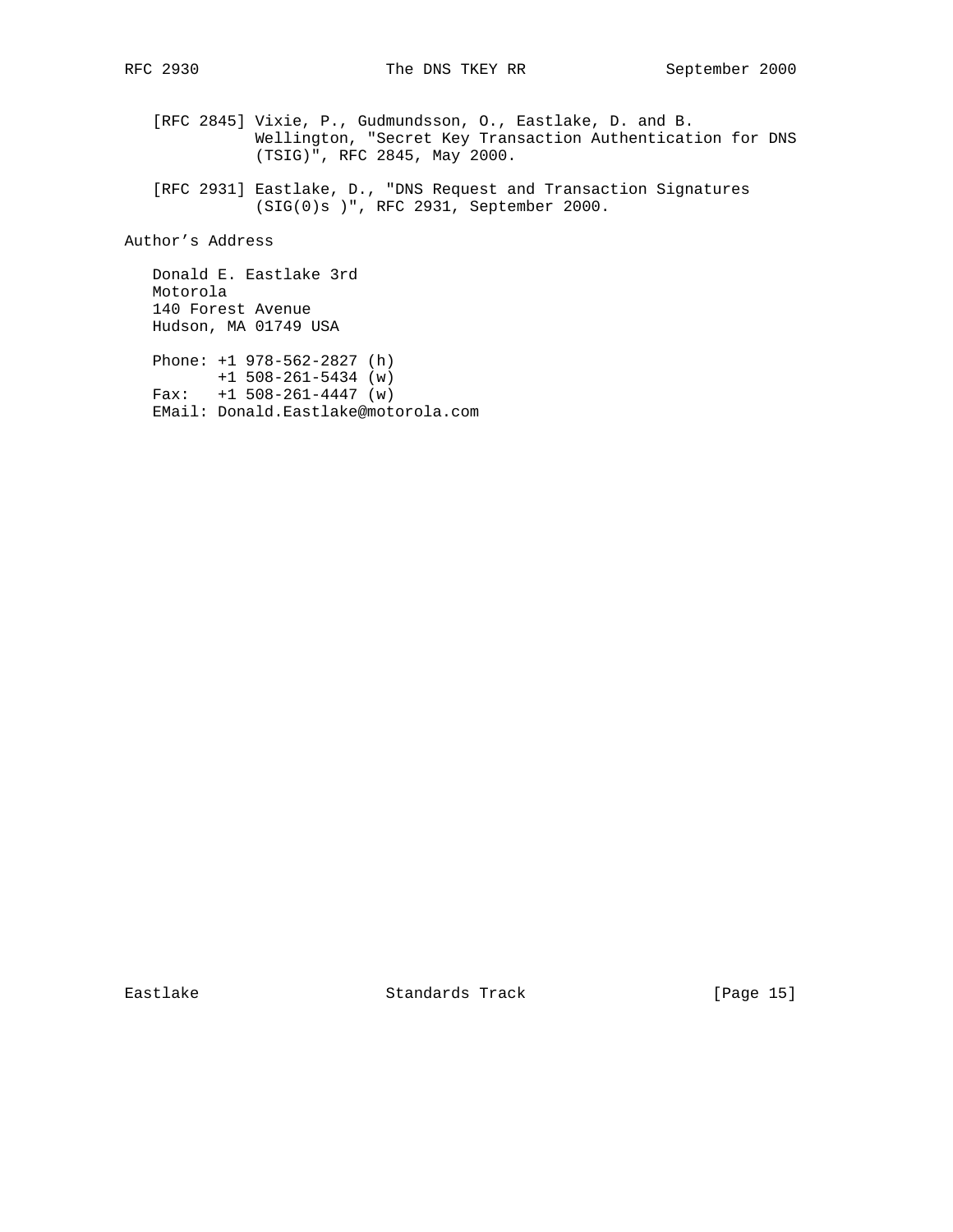[RFC 2845] Vixie, P., Gudmundsson, O., Eastlake, D. and B. Wellington, "Secret Key Transaction Authentication for DNS (TSIG)", RFC 2845, May 2000.

 [RFC 2931] Eastlake, D., "DNS Request and Transaction Signatures (SIG(0)s )", RFC 2931, September 2000.

Author's Address

 Donald E. Eastlake 3rd Motorola 140 Forest Avenue Hudson, MA 01749 USA

 Phone: +1 978-562-2827 (h) +1 508-261-5434 (w) Fax: +1 508-261-4447 (w) EMail: Donald.Eastlake@motorola.com

Eastlake Standards Track [Page 15]